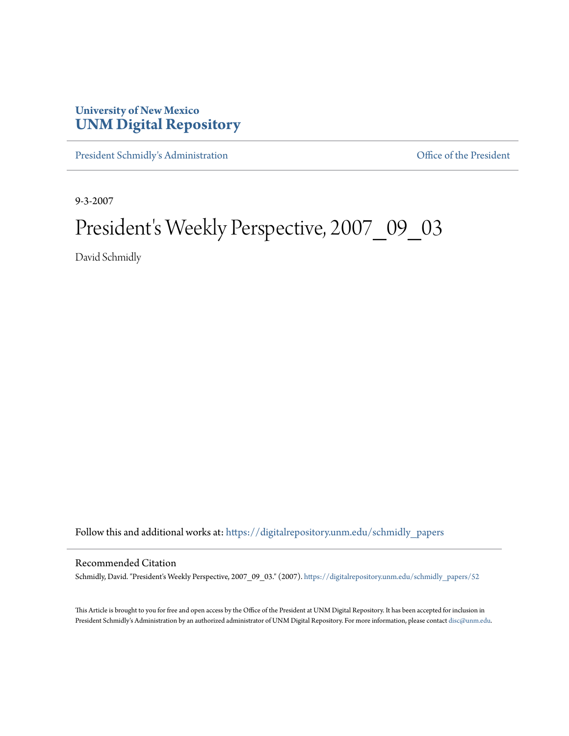## **University of New Mexico [UNM Digital Repository](https://digitalrepository.unm.edu?utm_source=digitalrepository.unm.edu%2Fschmidly_papers%2F52&utm_medium=PDF&utm_campaign=PDFCoverPages)**

[President Schmidly's Administration](https://digitalrepository.unm.edu/schmidly_papers?utm_source=digitalrepository.unm.edu%2Fschmidly_papers%2F52&utm_medium=PDF&utm_campaign=PDFCoverPages) [Office of the President](https://digitalrepository.unm.edu/ofc_president?utm_source=digitalrepository.unm.edu%2Fschmidly_papers%2F52&utm_medium=PDF&utm_campaign=PDFCoverPages)

9-3-2007

## President's Weekly Perspective, 2007\_09\_03

David Schmidly

Follow this and additional works at: [https://digitalrepository.unm.edu/schmidly\\_papers](https://digitalrepository.unm.edu/schmidly_papers?utm_source=digitalrepository.unm.edu%2Fschmidly_papers%2F52&utm_medium=PDF&utm_campaign=PDFCoverPages)

## Recommended Citation

Schmidly, David. "President's Weekly Perspective, 2007\_09\_03." (2007). [https://digitalrepository.unm.edu/schmidly\\_papers/52](https://digitalrepository.unm.edu/schmidly_papers/52?utm_source=digitalrepository.unm.edu%2Fschmidly_papers%2F52&utm_medium=PDF&utm_campaign=PDFCoverPages)

This Article is brought to you for free and open access by the Office of the President at UNM Digital Repository. It has been accepted for inclusion in President Schmidly's Administration by an authorized administrator of UNM Digital Repository. For more information, please contact [disc@unm.edu](mailto:disc@unm.edu).